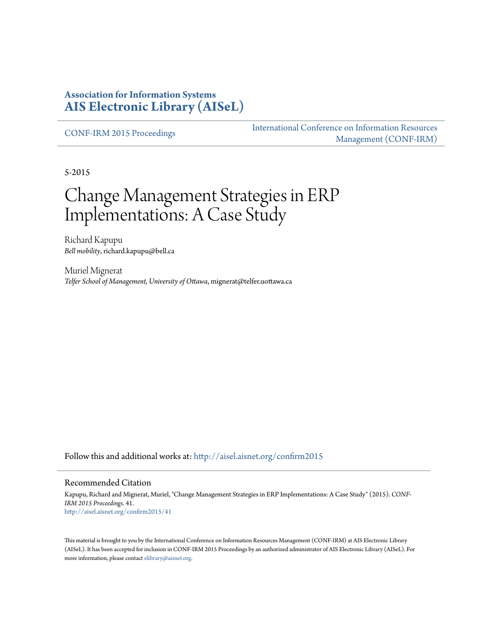#### **Association for Information Systems [AIS Electronic Library \(AISeL\)](http://aisel.aisnet.org?utm_source=aisel.aisnet.org%2Fconfirm2015%2F41&utm_medium=PDF&utm_campaign=PDFCoverPages)**

[CONF-IRM 2015 Proceedings](http://aisel.aisnet.org/confirm2015?utm_source=aisel.aisnet.org%2Fconfirm2015%2F41&utm_medium=PDF&utm_campaign=PDFCoverPages)

[International Conference on Information Resources](http://aisel.aisnet.org/conf-irm?utm_source=aisel.aisnet.org%2Fconfirm2015%2F41&utm_medium=PDF&utm_campaign=PDFCoverPages) [Management \(CONF-IRM\)](http://aisel.aisnet.org/conf-irm?utm_source=aisel.aisnet.org%2Fconfirm2015%2F41&utm_medium=PDF&utm_campaign=PDFCoverPages)

5-2015

# Change Management Strategies in ERP Implementations: A Case Study

Richard Kapupu *Bell mobility*, richard.kapupu@bell.ca

Muriel Mignerat *Telfer School of Management, University of Ottawa*, mignerat@telfer.uottawa.ca

Follow this and additional works at: [http://aisel.aisnet.org/confirm2015](http://aisel.aisnet.org/confirm2015?utm_source=aisel.aisnet.org%2Fconfirm2015%2F41&utm_medium=PDF&utm_campaign=PDFCoverPages)

#### Recommended Citation

Kapupu, Richard and Mignerat, Muriel, "Change Management Strategies in ERP Implementations: A Case Study" (2015). *CONF-IRM 2015 Proceedings*. 41. [http://aisel.aisnet.org/confirm2015/41](http://aisel.aisnet.org/confirm2015/41?utm_source=aisel.aisnet.org%2Fconfirm2015%2F41&utm_medium=PDF&utm_campaign=PDFCoverPages)

This material is brought to you by the International Conference on Information Resources Management (CONF-IRM) at AIS Electronic Library (AISeL). It has been accepted for inclusion in CONF-IRM 2015 Proceedings by an authorized administrator of AIS Electronic Library (AISeL). For more information, please contact [elibrary@aisnet.org.](mailto:elibrary@aisnet.org%3E)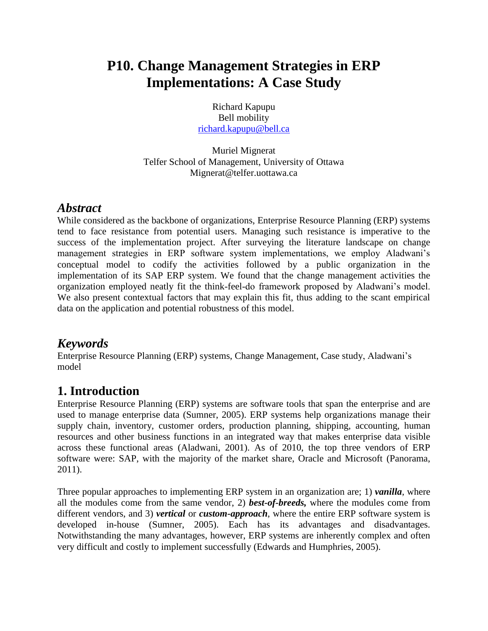## **P10. Change Management Strategies in ERP Implementations: A Case Study**

Richard Kapupu Bell mobility [richard.kapupu@bell.ca](mailto:richard.kapupu@bell.ca)

Muriel Mignerat Telfer School of Management, University of Ottawa Mignerat@telfer.uottawa.ca

### *Abstract*

While considered as the backbone of organizations, Enterprise Resource Planning (ERP) systems tend to face resistance from potential users. Managing such resistance is imperative to the success of the implementation project. After surveying the literature landscape on change management strategies in ERP software system implementations, we employ Aladwani's conceptual model to codify the activities followed by a public organization in the implementation of its SAP ERP system. We found that the change management activities the organization employed neatly fit the think-feel-do framework proposed by Aladwani's model. We also present contextual factors that may explain this fit, thus adding to the scant empirical data on the application and potential robustness of this model.

### *Keywords*

Enterprise Resource Planning (ERP) systems, Change Management, Case study, Aladwani's model

## **1. Introduction**

Enterprise Resource Planning (ERP) systems are software tools that span the enterprise and are used to manage enterprise data (Sumner, 2005). ERP systems help organizations manage their supply chain, inventory, customer orders, production planning, shipping, accounting, human resources and other business functions in an integrated way that makes enterprise data visible across these functional areas (Aladwani, 2001). As of 2010, the top three vendors of ERP software were: SAP, with the majority of the market share, Oracle and Microsoft (Panorama, 2011).

Three popular approaches to implementing ERP system in an organization are; 1) *vanilla*, where all the modules come from the same vendor, 2) *best-of-breeds,* where the modules come from different vendors, and 3) *vertical* or *custom-approach*, where the entire ERP software system is developed in-house (Sumner, 2005). Each has its advantages and disadvantages. Notwithstanding the many advantages, however, ERP systems are inherently complex and often very difficult and costly to implement successfully (Edwards and Humphries, 2005).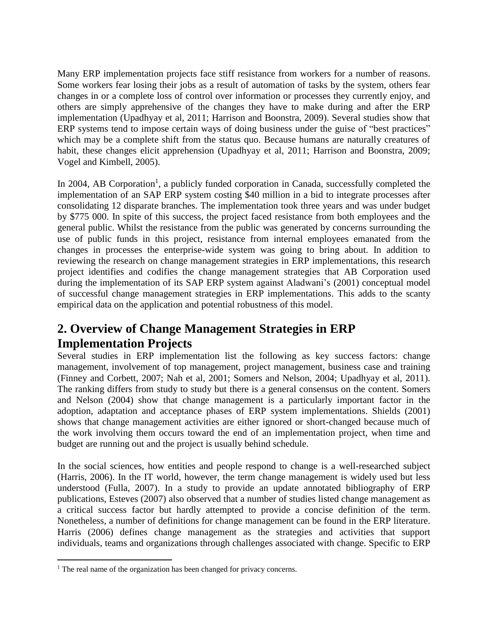Many ERP implementation projects face stiff resistance from workers for a number of reasons. Some workers fear losing their jobs as a result of automation of tasks by the system, others fear changes in or a complete loss of control over information or processes they currently enjoy, and others are simply apprehensive of the changes they have to make during and after the ERP implementation (Upadhyay et al, 2011; Harrison and Boonstra, 2009). Several studies show that ERP systems tend to impose certain ways of doing business under the guise of "best practices" which may be a complete shift from the status quo. Because humans are naturally creatures of habit, these changes elicit apprehension (Upadhyay et al, 2011; Harrison and Boonstra, 2009; Vogel and Kimbell, 2005).

In 2004, AB Corporation<sup>1</sup>, a publicly funded corporation in Canada, successfully completed the implementation of an SAP ERP system costing \$40 million in a bid to integrate processes after consolidating 12 disparate branches. The implementation took three years and was under budget by \$775 000. In spite of this success, the project faced resistance from both employees and the general public. Whilst the resistance from the public was generated by concerns surrounding the use of public funds in this project, resistance from internal employees emanated from the changes in processes the enterprise-wide system was going to bring about. In addition to reviewing the research on change management strategies in ERP implementations, this research project identifies and codifies the change management strategies that AB Corporation used during the implementation of its SAP ERP system against Aladwani's (2001) conceptual model of successful change management strategies in ERP implementations. This adds to the scanty empirical data on the application and potential robustness of this model.

## **2. Overview of Change Management Strategies in ERP Implementation Projects**

Several studies in ERP implementation list the following as key success factors: change management, involvement of top management, project management, business case and training (Finney and Corbett, 2007; Nah et al, 2001; Somers and Nelson, 2004; Upadhyay et al, 2011). The ranking differs from study to study but there is a general consensus on the content. Somers and Nelson (2004) show that change management is a particularly important factor in the adoption, adaptation and acceptance phases of ERP system implementations. Shields (2001) shows that change management activities are either ignored or short-changed because much of the work involving them occurs toward the end of an implementation project, when time and budget are running out and the project is usually behind schedule.

In the social sciences, how entities and people respond to change is a well-researched subject (Harris, 2006). In the IT world, however, the term change management is widely used but less understood (Fulla, 2007). In a study to provide an update annotated bibliography of ERP publications, Esteves (2007) also observed that a number of studies listed change management as a critical success factor but hardly attempted to provide a concise definition of the term. Nonetheless, a number of definitions for change management can be found in the ERP literature. Harris (2006) defines change management as the strategies and activities that support individuals, teams and organizations through challenges associated with change. Specific to ERP

 $\overline{a}$ 

<sup>&</sup>lt;sup>1</sup> The real name of the organization has been changed for privacy concerns.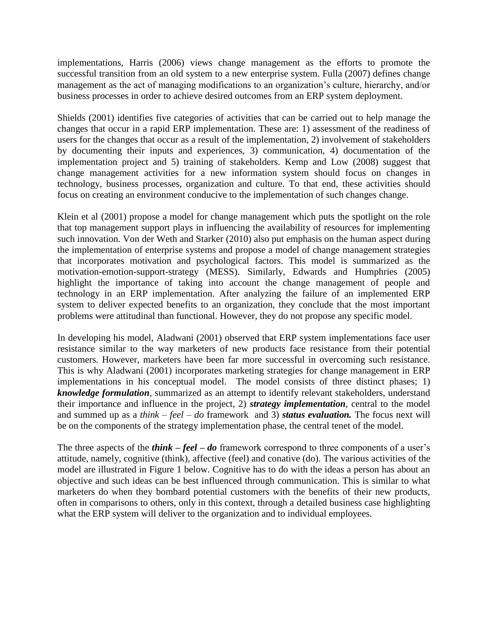implementations, Harris (2006) views change management as the efforts to promote the successful transition from an old system to a new enterprise system. Fulla (2007) defines change management as the act of managing modifications to an organization's culture, hierarchy, and/or business processes in order to achieve desired outcomes from an ERP system deployment.

Shields (2001) identifies five categories of activities that can be carried out to help manage the changes that occur in a rapid ERP implementation. These are: 1) assessment of the readiness of users for the changes that occur as a result of the implementation, 2) involvement of stakeholders by documenting their inputs and experiences, 3) communication, 4) documentation of the implementation project and 5) training of stakeholders. Kemp and Low (2008) suggest that change management activities for a new information system should focus on changes in technology, business processes, organization and culture. To that end, these activities should focus on creating an environment conducive to the implementation of such changes change.

Klein et al (2001) propose a model for change management which puts the spotlight on the role that top management support plays in influencing the availability of resources for implementing such innovation. Von der Weth and Starker (2010) also put emphasis on the human aspect during the implementation of enterprise systems and propose a model of change management strategies that incorporates motivation and psychological factors. This model is summarized as the motivation-emotion-support-strategy (MESS). Similarly, Edwards and Humphries (2005) highlight the importance of taking into account the change management of people and technology in an ERP implementation. After analyzing the failure of an implemented ERP system to deliver expected benefits to an organization, they conclude that the most important problems were attitudinal than functional. However, they do not propose any specific model.

In developing his model, Aladwani (2001) observed that ERP system implementations face user resistance similar to the way marketers of new products face resistance from their potential customers. However, marketers have been far more successful in overcoming such resistance. This is why Aladwani (2001) incorporates marketing strategies for change management in ERP implementations in his conceptual model. The model consists of three distinct phases; 1) *knowledge formulation*, summarized as an attempt to identify relevant stakeholders, understand their importance and influence in the project, 2) *strategy implementation*, central to the model and summed up as a *think – feel – do* framework and 3) *status evaluation.* The focus next will be on the components of the strategy implementation phase, the central tenet of the model.

The three aspects of the *think – feel – do* framework correspond to three components of a user's attitude, namely, cognitive (think), affective (feel) and conative (do). The various activities of the model are illustrated in Figure 1 below. Cognitive has to do with the ideas a person has about an objective and such ideas can be best influenced through communication. This is similar to what marketers do when they bombard potential customers with the benefits of their new products, often in comparisons to others, only in this context, through a detailed business case highlighting what the ERP system will deliver to the organization and to individual employees.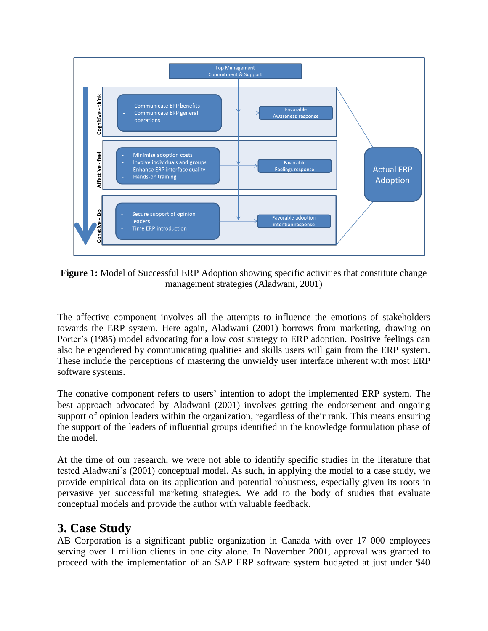

**Figure 1:** Model of Successful ERP Adoption showing specific activities that constitute change management strategies (Aladwani, 2001)

The affective component involves all the attempts to influence the emotions of stakeholders towards the ERP system. Here again, Aladwani (2001) borrows from marketing, drawing on Porter's (1985) model advocating for a low cost strategy to ERP adoption. Positive feelings can also be engendered by communicating qualities and skills users will gain from the ERP system. These include the perceptions of mastering the unwieldy user interface inherent with most ERP software systems.

The conative component refers to users' intention to adopt the implemented ERP system. The best approach advocated by Aladwani (2001) involves getting the endorsement and ongoing support of opinion leaders within the organization, regardless of their rank. This means ensuring the support of the leaders of influential groups identified in the knowledge formulation phase of the model.

At the time of our research, we were not able to identify specific studies in the literature that tested Aladwani's (2001) conceptual model. As such, in applying the model to a case study, we provide empirical data on its application and potential robustness, especially given its roots in pervasive yet successful marketing strategies. We add to the body of studies that evaluate conceptual models and provide the author with valuable feedback.

### **3. Case Study**

AB Corporation is a significant public organization in Canada with over 17 000 employees serving over 1 million clients in one city alone. In November 2001, approval was granted to proceed with the implementation of an SAP ERP software system budgeted at just under \$40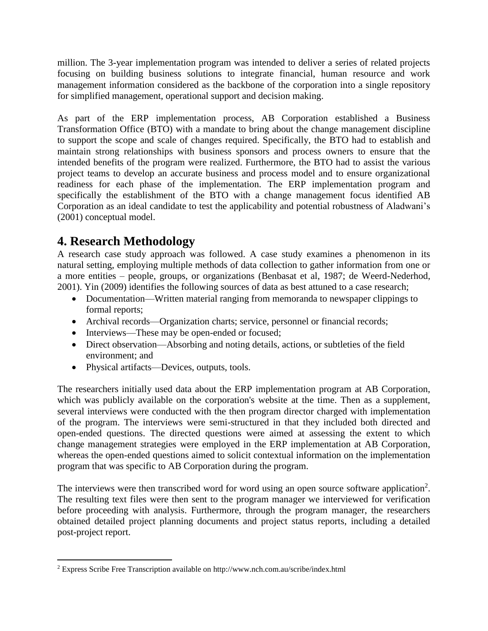million. The 3-year implementation program was intended to deliver a series of related projects focusing on building business solutions to integrate financial, human resource and work management information considered as the backbone of the corporation into a single repository for simplified management, operational support and decision making.

As part of the ERP implementation process, AB Corporation established a Business Transformation Office (BTO) with a mandate to bring about the change management discipline to support the scope and scale of changes required. Specifically, the BTO had to establish and maintain strong relationships with business sponsors and process owners to ensure that the intended benefits of the program were realized. Furthermore, the BTO had to assist the various project teams to develop an accurate business and process model and to ensure organizational readiness for each phase of the implementation. The ERP implementation program and specifically the establishment of the BTO with a change management focus identified AB Corporation as an ideal candidate to test the applicability and potential robustness of Aladwani's (2001) conceptual model.

## **4. Research Methodology**

 $\overline{a}$ 

A research case study approach was followed. A case study examines a phenomenon in its natural setting, employing multiple methods of data collection to gather information from one or a more entities – people, groups, or organizations (Benbasat et al, 1987; de Weerd-Nederhod, 2001). Yin (2009) identifies the following sources of data as best attuned to a case research;

- Documentation—Written material ranging from memoranda to newspaper clippings to formal reports;
- Archival records—Organization charts; service, personnel or financial records;
- Interviews—These may be open-ended or focused;
- Direct observation—Absorbing and noting details, actions, or subtleties of the field environment; and
- Physical artifacts—Devices, outputs, tools.

The researchers initially used data about the ERP implementation program at AB Corporation, which was publicly available on the corporation's website at the time. Then as a supplement, several interviews were conducted with the then program director charged with implementation of the program. The interviews were semi-structured in that they included both directed and open-ended questions. The directed questions were aimed at assessing the extent to which change management strategies were employed in the ERP implementation at AB Corporation, whereas the open-ended questions aimed to solicit contextual information on the implementation program that was specific to AB Corporation during the program.

The interviews were then transcribed word for word using an open source software application<sup>2</sup>. The resulting text files were then sent to the program manager we interviewed for verification before proceeding with analysis. Furthermore, through the program manager, the researchers obtained detailed project planning documents and project status reports, including a detailed post-project report.

<sup>2</sup> Express Scribe Free Transcription available on http://www.nch.com.au/scribe/index.html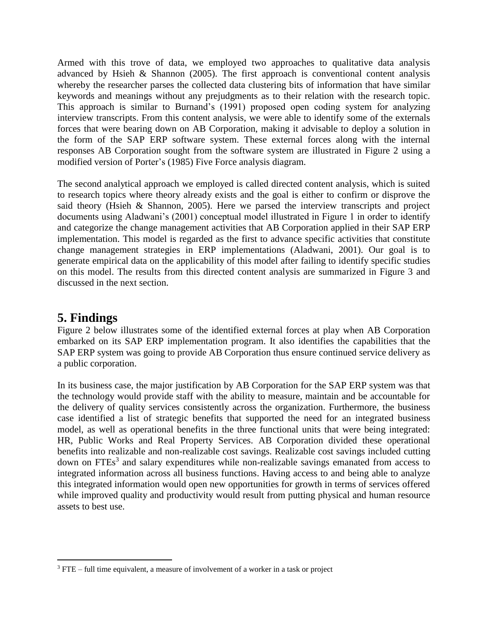Armed with this trove of data, we employed two approaches to qualitative data analysis advanced by Hsieh & Shannon (2005). The first approach is conventional content analysis whereby the researcher parses the collected data clustering bits of information that have similar keywords and meanings without any prejudgments as to their relation with the research topic. This approach is similar to Burnand's (1991) proposed open coding system for analyzing interview transcripts. From this content analysis, we were able to identify some of the externals forces that were bearing down on AB Corporation, making it advisable to deploy a solution in the form of the SAP ERP software system. These external forces along with the internal responses AB Corporation sought from the software system are illustrated in Figure 2 using a modified version of Porter's (1985) Five Force analysis diagram.

The second analytical approach we employed is called directed content analysis, which is suited to research topics where theory already exists and the goal is either to confirm or disprove the said theory (Hsieh & Shannon, 2005). Here we parsed the interview transcripts and project documents using Aladwani's (2001) conceptual model illustrated in Figure 1 in order to identify and categorize the change management activities that AB Corporation applied in their SAP ERP implementation. This model is regarded as the first to advance specific activities that constitute change management strategies in ERP implementations (Aladwani, 2001). Our goal is to generate empirical data on the applicability of this model after failing to identify specific studies on this model. The results from this directed content analysis are summarized in Figure 3 and discussed in the next section.

#### **5. Findings**

 $\overline{a}$ 

Figure 2 below illustrates some of the identified external forces at play when AB Corporation embarked on its SAP ERP implementation program. It also identifies the capabilities that the SAP ERP system was going to provide AB Corporation thus ensure continued service delivery as a public corporation.

In its business case, the major justification by AB Corporation for the SAP ERP system was that the technology would provide staff with the ability to measure, maintain and be accountable for the delivery of quality services consistently across the organization. Furthermore, the business case identified a list of strategic benefits that supported the need for an integrated business model, as well as operational benefits in the three functional units that were being integrated: HR, Public Works and Real Property Services. AB Corporation divided these operational benefits into realizable and non-realizable cost savings. Realizable cost savings included cutting down on FTEs<sup>3</sup> and salary expenditures while non-realizable savings emanated from access to integrated information across all business functions. Having access to and being able to analyze this integrated information would open new opportunities for growth in terms of services offered while improved quality and productivity would result from putting physical and human resource assets to best use.

<sup>&</sup>lt;sup>3</sup> FTE – full time equivalent, a measure of involvement of a worker in a task or project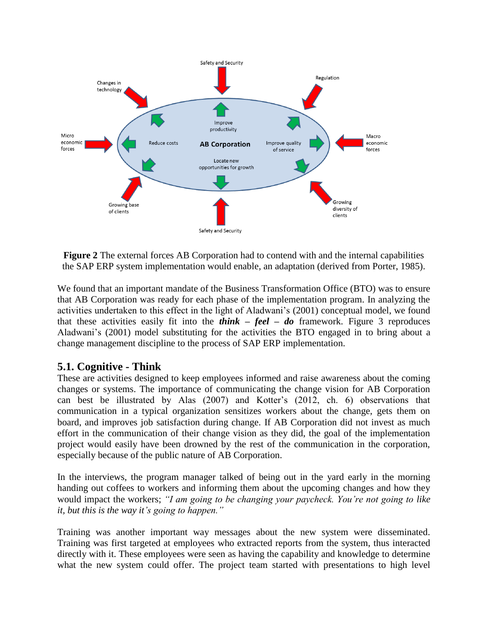

**Figure 2** The external forces AB Corporation had to contend with and the internal capabilities the SAP ERP system implementation would enable, an adaptation (derived from Porter, 1985).

We found that an important mandate of the Business Transformation Office (BTO) was to ensure that AB Corporation was ready for each phase of the implementation program. In analyzing the activities undertaken to this effect in the light of Aladwani's (2001) conceptual model, we found that these activities easily fit into the *think – feel – do* framework. Figure 3 reproduces Aladwani's (2001) model substituting for the activities the BTO engaged in to bring about a change management discipline to the process of SAP ERP implementation.

#### **5.1. Cognitive - Think**

These are activities designed to keep employees informed and raise awareness about the coming changes or systems. The importance of communicating the change vision for AB Corporation can best be illustrated by Alas (2007) and Kotter's (2012, ch. 6) observations that communication in a typical organization sensitizes workers about the change, gets them on board, and improves job satisfaction during change. If AB Corporation did not invest as much effort in the communication of their change vision as they did, the goal of the implementation project would easily have been drowned by the rest of the communication in the corporation, especially because of the public nature of AB Corporation.

In the interviews, the program manager talked of being out in the yard early in the morning handing out coffees to workers and informing them about the upcoming changes and how they would impact the workers; *"I am going to be changing your paycheck. You're not going to like it, but this is the way it's going to happen."*

Training was another important way messages about the new system were disseminated. Training was first targeted at employees who extracted reports from the system, thus interacted directly with it. These employees were seen as having the capability and knowledge to determine what the new system could offer. The project team started with presentations to high level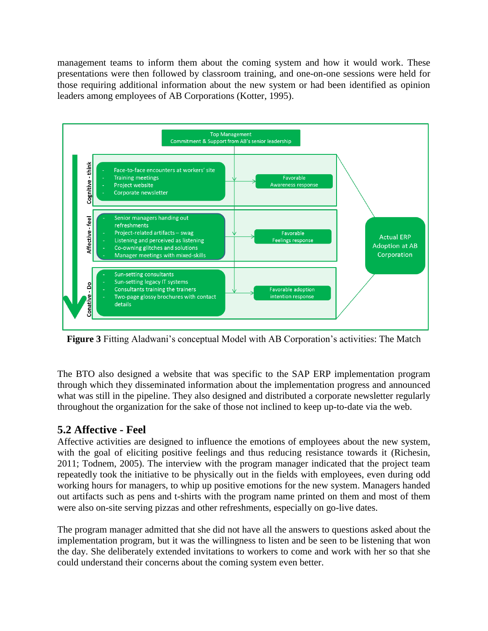management teams to inform them about the coming system and how it would work. These presentations were then followed by classroom training, and one-on-one sessions were held for those requiring additional information about the new system or had been identified as opinion leaders among employees of AB Corporations (Kotter, 1995).



**Figure 3** Fitting Aladwani's conceptual Model with AB Corporation's activities: The Match

The BTO also designed a website that was specific to the SAP ERP implementation program through which they disseminated information about the implementation progress and announced what was still in the pipeline. They also designed and distributed a corporate newsletter regularly throughout the organization for the sake of those not inclined to keep up-to-date via the web.

#### **5.2 Affective - Feel**

Affective activities are designed to influence the emotions of employees about the new system, with the goal of eliciting positive feelings and thus reducing resistance towards it (Richesin, 2011; Todnem, 2005). The interview with the program manager indicated that the project team repeatedly took the initiative to be physically out in the fields with employees, even during odd working hours for managers, to whip up positive emotions for the new system. Managers handed out artifacts such as pens and t-shirts with the program name printed on them and most of them were also on-site serving pizzas and other refreshments, especially on go-live dates.

The program manager admitted that she did not have all the answers to questions asked about the implementation program, but it was the willingness to listen and be seen to be listening that won the day. She deliberately extended invitations to workers to come and work with her so that she could understand their concerns about the coming system even better.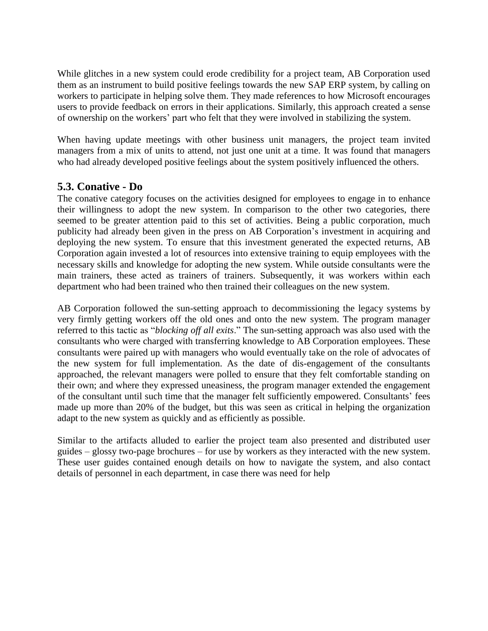While glitches in a new system could erode credibility for a project team, AB Corporation used them as an instrument to build positive feelings towards the new SAP ERP system, by calling on workers to participate in helping solve them. They made references to how Microsoft encourages users to provide feedback on errors in their applications. Similarly, this approach created a sense of ownership on the workers' part who felt that they were involved in stabilizing the system.

When having update meetings with other business unit managers, the project team invited managers from a mix of units to attend, not just one unit at a time. It was found that managers who had already developed positive feelings about the system positively influenced the others.

#### **5.3. Conative - Do**

The conative category focuses on the activities designed for employees to engage in to enhance their willingness to adopt the new system. In comparison to the other two categories, there seemed to be greater attention paid to this set of activities. Being a public corporation, much publicity had already been given in the press on AB Corporation's investment in acquiring and deploying the new system. To ensure that this investment generated the expected returns, AB Corporation again invested a lot of resources into extensive training to equip employees with the necessary skills and knowledge for adopting the new system. While outside consultants were the main trainers, these acted as trainers of trainers. Subsequently, it was workers within each department who had been trained who then trained their colleagues on the new system.

AB Corporation followed the sun-setting approach to decommissioning the legacy systems by very firmly getting workers off the old ones and onto the new system. The program manager referred to this tactic as "*blocking off all exits*." The sun-setting approach was also used with the consultants who were charged with transferring knowledge to AB Corporation employees. These consultants were paired up with managers who would eventually take on the role of advocates of the new system for full implementation. As the date of dis-engagement of the consultants approached, the relevant managers were polled to ensure that they felt comfortable standing on their own; and where they expressed uneasiness, the program manager extended the engagement of the consultant until such time that the manager felt sufficiently empowered. Consultants' fees made up more than 20% of the budget, but this was seen as critical in helping the organization adapt to the new system as quickly and as efficiently as possible.

Similar to the artifacts alluded to earlier the project team also presented and distributed user guides – glossy two-page brochures – for use by workers as they interacted with the new system. These user guides contained enough details on how to navigate the system, and also contact details of personnel in each department, in case there was need for help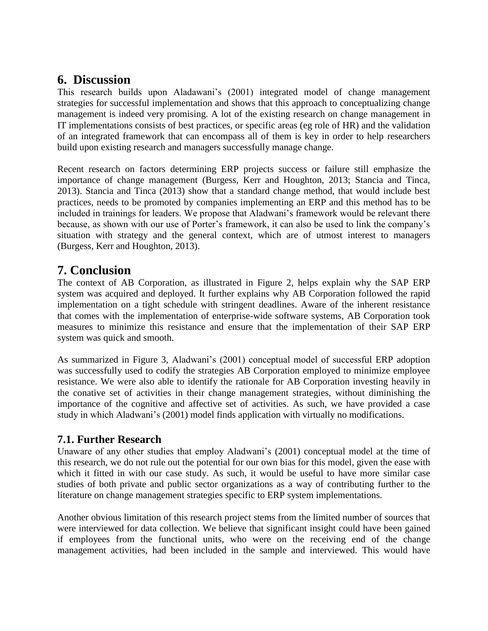## **6. Discussion**

This research builds upon Aladawani's (2001) integrated model of change management strategies for successful implementation and shows that this approach to conceptualizing change management is indeed very promising. A lot of the existing research on change management in IT implementations consists of best practices, or specific areas (eg role of HR) and the validation of an integrated framework that can encompass all of them is key in order to help researchers build upon existing research and managers successfully manage change.

Recent research on factors determining ERP projects success or failure still emphasize the importance of change management (Burgess, Kerr and Houghton, 2013; Stancia and Tinca, 2013). Stancia and Tinca (2013) show that a standard change method, that would include best practices, needs to be promoted by companies implementing an ERP and this method has to be included in trainings for leaders. We propose that Aladwani's framework would be relevant there because, as shown with our use of Porter's framework, it can also be used to link the company's situation with strategy and the general context, which are of utmost interest to managers (Burgess, Kerr and Houghton, 2013).

## **7. Conclusion**

The context of AB Corporation, as illustrated in Figure 2, helps explain why the SAP ERP system was acquired and deployed. It further explains why AB Corporation followed the rapid implementation on a tight schedule with stringent deadlines. Aware of the inherent resistance that comes with the implementation of enterprise-wide software systems, AB Corporation took measures to minimize this resistance and ensure that the implementation of their SAP ERP system was quick and smooth.

As summarized in Figure 3, Aladwani's (2001) conceptual model of successful ERP adoption was successfully used to codify the strategies AB Corporation employed to minimize employee resistance. We were also able to identify the rationale for AB Corporation investing heavily in the conative set of activities in their change management strategies, without diminishing the importance of the cognitive and affective set of activities. As such, we have provided a case study in which Aladwani's (2001) model finds application with virtually no modifications.

#### **7.1. Further Research**

Unaware of any other studies that employ Aladwani's (2001) conceptual model at the time of this research, we do not rule out the potential for our own bias for this model, given the ease with which it fitted in with our case study. As such, it would be useful to have more similar case studies of both private and public sector organizations as a way of contributing further to the literature on change management strategies specific to ERP system implementations.

Another obvious limitation of this research project stems from the limited number of sources that were interviewed for data collection. We believe that significant insight could have been gained if employees from the functional units, who were on the receiving end of the change management activities, had been included in the sample and interviewed. This would have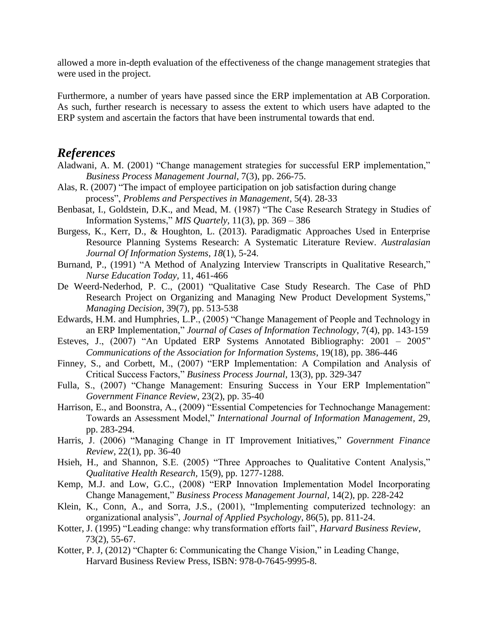allowed a more in-depth evaluation of the effectiveness of the change management strategies that were used in the project.

Furthermore, a number of years have passed since the ERP implementation at AB Corporation. As such, further research is necessary to assess the extent to which users have adapted to the ERP system and ascertain the factors that have been instrumental towards that end.

#### *References*

- Aladwani, A. M. (2001) "Change management strategies for successful ERP implementation," *Business Process Management Journal*, 7(3), pp. 266-75.
- Alas, R. (2007) "The impact of employee participation on job satisfaction during change process", *Problems and Perspectives in Management*, 5(4). 28-33
- Benbasat, I., Goldstein, D.K., and Mead, M. (1987) "The Case Research Strategy in Studies of Information Systems," *MIS Quartely,* 11(3), pp*.* 369 – 386
- Burgess, K., Kerr, D., & Houghton, L. (2013). Paradigmatic Approaches Used in Enterprise Resource Planning Systems Research: A Systematic Literature Review. *Australasian Journal Of Information Systems*, *18*(1), 5-24.
- Burnand, P., (1991) "A Method of Analyzing Interview Transcripts in Qualitative Research," *Nurse Education Today,* 11, 461-466
- De Weerd-Nederhod, P. C., (2001) "Qualitative Case Study Research. The Case of PhD Research Project on Organizing and Managing New Product Development Systems," *Managing Decision,* 39(7), pp. 513-538
- Edwards, H.M. and Humphries, L.P., (2005) "Change Management of People and Technology in an ERP Implementation," *Journal of Cases of Information Technology*, 7(4), pp. 143-159
- Esteves, J., (2007) "An Updated ERP Systems Annotated Bibliography: 2001 2005" *Communications of the Association for Information Systems*, 19(18), pp. 386-446
- Finney, S., and Corbett, M., (2007) "ERP Implementation: A Compilation and Analysis of Critical Success Factors," *Business Process Journal*, 13(3), pp. 329-347
- Fulla, S., (2007) "Change Management: Ensuring Success in Your ERP Implementation" *Government Finance Review*, 23(2), pp. 35-40
- Harrison, E., and Boonstra, A., (2009) "Essential Competencies for Technochange Management: Towards an Assessment Model," *International Journal of Information Management,* 29, pp. 283-294.
- Harris, J. (2006) "Managing Change in IT Improvement Initiatives," *Government Finance Review*, 22(1), pp. 36-40
- Hsieh, H., and Shannon, S.E. (2005) "Three Approaches to Qualitative Content Analysis," *Qualitative Health Research,* 15(9), pp. 1277-1288.
- Kemp, M.J. and Low, G.C., (2008) "ERP Innovation Implementation Model Incorporating Change Management," *Business Process Management Journal,* 14(2), pp. 228-242
- Klein, K., Conn, A., and Sorra, J.S., (2001), "Implementing computerized technology: an organizational analysis", *Journal of Applied Psychology*, 86(5), pp. 811-24.
- Kotter, J. (1995) "Leading change: why transformation efforts fail", *Harvard Business Review*, 73(2), 55-67.
- Kotter, P. J, (2012) "Chapter 6: Communicating the Change Vision," in Leading Change, Harvard Business Review Press, ISBN: 978-0-7645-9995-8.